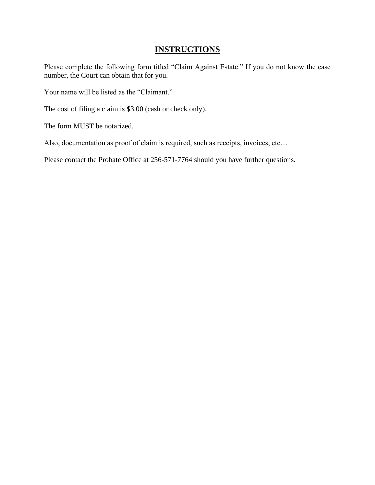## **INSTRUCTIONS**

Please complete the following form titled "Claim Against Estate." If you do not know the case number, the Court can obtain that for you.

Your name will be listed as the "Claimant."

The cost of filing a claim is \$3.00 (cash or check only).

The form MUST be notarized.

Also, documentation as proof of claim is required, such as receipts, invoices, etc…

Please contact the Probate Office at 256-571-7764 should you have further questions.